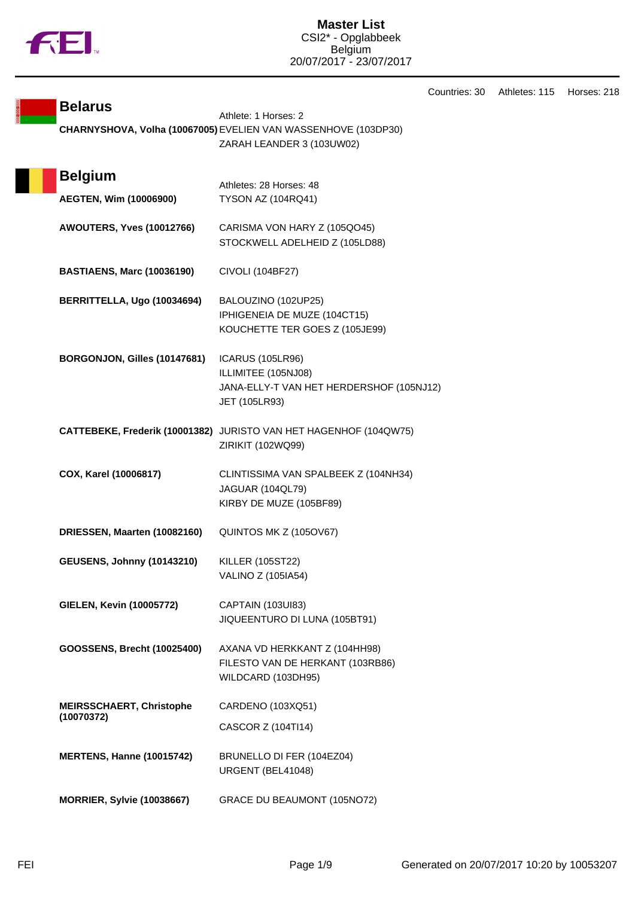

| <b>Belarus</b>                     | Athlete: 1 Horses: 2                                              |
|------------------------------------|-------------------------------------------------------------------|
|                                    | CHARNYSHOVA, Volha (10067005) EVELIEN VAN WASSENHOVE (103DP30)    |
|                                    | ZARAH LEANDER 3 (103UW02)                                         |
|                                    |                                                                   |
| <b>Belgium</b>                     | Athletes: 28 Horses: 48                                           |
| AEGTEN, Wim (10006900)             | <b>TYSON AZ (104RQ41)</b>                                         |
|                                    |                                                                   |
| <b>AWOUTERS, Yves (10012766)</b>   | CARISMA VON HARY Z (105QO45)                                      |
|                                    | STOCKWELL ADELHEID Z (105LD88)                                    |
| <b>BASTIAENS, Marc (10036190)</b>  | CIVOLI (104BF27)                                                  |
|                                    |                                                                   |
| BERRITTELLA, Ugo (10034694)        | BALOUZINO (102UP25)                                               |
|                                    | IPHIGENEIA DE MUZE (104CT15)                                      |
|                                    | KOUCHETTE TER GOES Z (105JE99)                                    |
| BORGONJON, Gilles (10147681)       | <b>ICARUS (105LR96)</b>                                           |
|                                    | ILLIMITEE (105NJ08)                                               |
|                                    | JANA-ELLY-T VAN HET HERDERSHOF (105NJ12)                          |
|                                    | JET (105LR93)                                                     |
|                                    | CATTEBEKE, Frederik (10001382) JURISTO VAN HET HAGENHOF (104QW75) |
|                                    | ZIRIKIT (102WQ99)                                                 |
|                                    |                                                                   |
| COX, Karel (10006817)              | CLINTISSIMA VAN SPALBEEK Z (104NH34)                              |
|                                    | <b>JAGUAR (104QL79)</b><br>KIRBY DE MUZE (105BF89)                |
|                                    |                                                                   |
| DRIESSEN, Maarten (10082160)       | QUINTOS MK Z (105OV67)                                            |
|                                    |                                                                   |
| <b>GEUSENS, Johnny (10143210)</b>  | <b>KILLER (105ST22)</b><br>VALINO Z (105IA54)                     |
|                                    |                                                                   |
| <b>GIELEN, Kevin (10005772)</b>    | CAPTAIN (103UI83)                                                 |
|                                    | JIQUEENTURO DI LUNA (105BT91)                                     |
| <b>GOOSSENS, Brecht (10025400)</b> | AXANA VD HERKKANT Z (104HH98)                                     |
|                                    | FILESTO VAN DE HERKANT (103RB86)                                  |
|                                    | WILDCARD (103DH95)                                                |
| <b>MEIRSSCHAERT, Christophe</b>    | CARDENO (103XQ51)                                                 |
| (10070372)                         |                                                                   |
|                                    | CASCOR Z (104Tl14)                                                |
| <b>MERTENS, Hanne (10015742)</b>   | BRUNELLO DI FER (104EZ04)                                         |
|                                    | URGENT (BEL41048)                                                 |
|                                    |                                                                   |
| <b>MORRIER, Sylvie (10038667)</b>  | GRACE DU BEAUMONT (105NO72)                                       |

Countries: 30 Athletes: 115 Horses: 218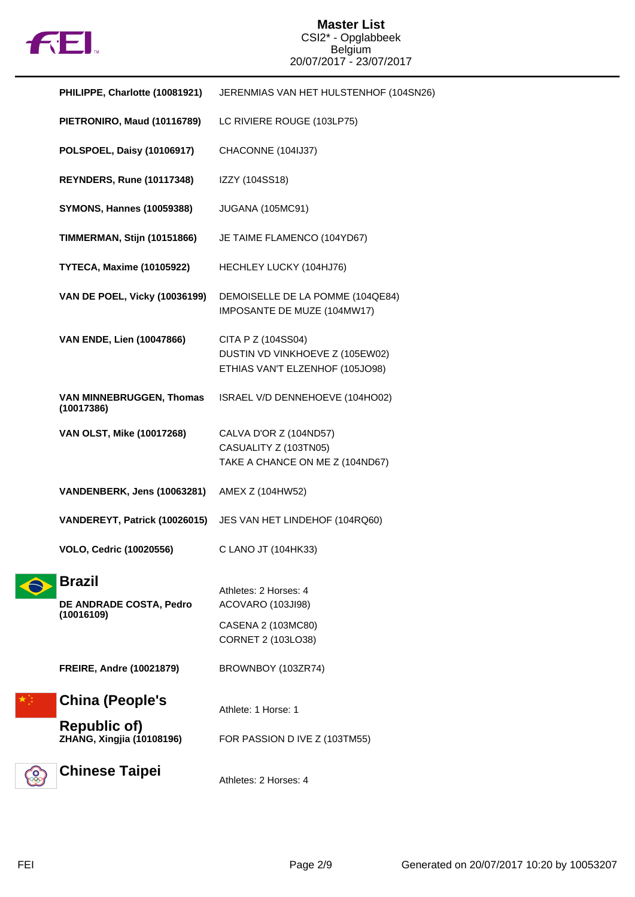

## **Master List** CSI2\* - Opglabbeek Belgium 20/07/2017 - 23/07/2017

| PHILIPPE, Charlotte (10081921)                         | JERENMIAS VAN HET HULSTENHOF (104SN26)                                                   |
|--------------------------------------------------------|------------------------------------------------------------------------------------------|
| PIETRONIRO, Maud (10116789)                            | LC RIVIERE ROUGE (103LP75)                                                               |
| POLSPOEL, Daisy (10106917)                             | CHACONNE (104IJ37)                                                                       |
| <b>REYNDERS, Rune (10117348)</b>                       | IZZY (104SS18)                                                                           |
| <b>SYMONS, Hannes (10059388)</b>                       | <b>JUGANA (105MC91)</b>                                                                  |
| <b>TIMMERMAN, Stijn (10151866)</b>                     | JE TAIME FLAMENCO (104YD67)                                                              |
| TYTECA, Maxime (10105922)                              | HECHLEY LUCKY (104HJ76)                                                                  |
| <b>VAN DE POEL, Vicky (10036199)</b>                   | DEMOISELLE DE LA POMME (104QE84)<br>IMPOSANTE DE MUZE (104MW17)                          |
| <b>VAN ENDE, Lien (10047866)</b>                       | CITA P Z (104SS04)<br>DUSTIN VD VINKHOEVE Z (105EW02)<br>ETHIAS VAN'T ELZENHOF (105JO98) |
| VAN MINNEBRUGGEN, Thomas<br>(10017386)                 | ISRAEL V/D DENNEHOEVE (104HO02)                                                          |
| VAN OLST, Mike (10017268)                              | CALVA D'OR Z (104ND57)<br>CASUALITY Z (103TN05)<br>TAKE A CHANCE ON ME Z (104ND67)       |
| VANDENBERK, Jens (10063281)                            | AMEX Z (104HW52)                                                                         |
| VANDEREYT, Patrick (10026015)                          | JES VAN HET LINDEHOF (104RQ60)                                                           |
| <b>VOLO, Cedric (10020556)</b>                         | C LANO JT (104HK33)                                                                      |
| <b>Brazil</b><br>DE ANDRADE COSTA, Pedro<br>(10016109) | Athletes: 2 Horses: 4<br>ACOVARO (103JI98)<br>CASENA 2 (103MC80)<br>CORNET 2 (103LO38)   |
| <b>FREIRE, Andre (10021879)</b>                        | BROWNBOY (103ZR74)                                                                       |
| <b>China (People's</b>                                 | Athlete: 1 Horse: 1                                                                      |
| <b>Republic of)</b><br>ZHANG, Xingjia (10108196)       | FOR PASSION D IVE Z (103TM55)                                                            |
| <b>Chinese Taipei</b>                                  | Athletes: 2 Horses: 4                                                                    |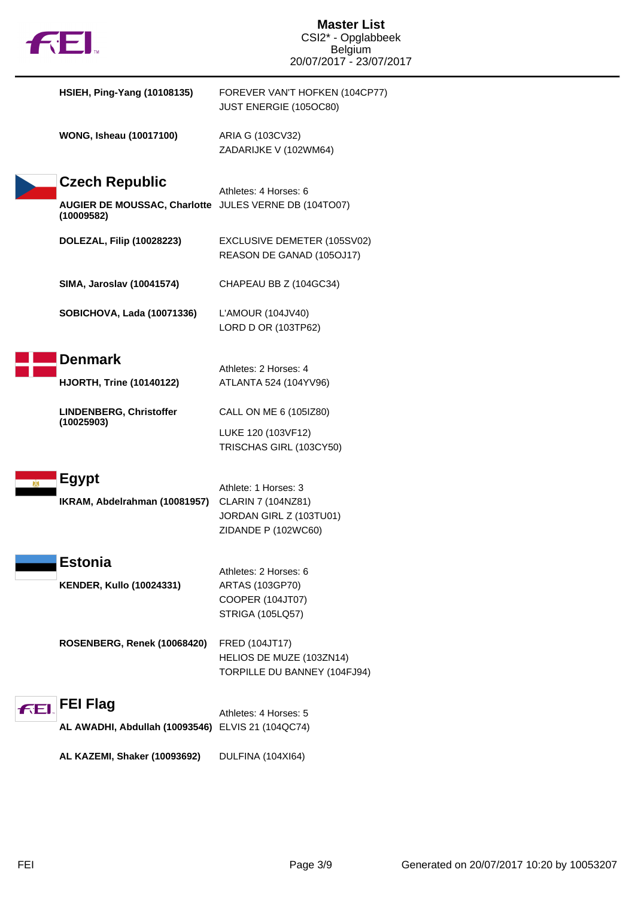|     | $f$ to $f$                                                                                   | <b>Master List</b><br>CSI2* - Opglabbeek<br>Belgium<br>20/07/2017 - 23/07/2017               |
|-----|----------------------------------------------------------------------------------------------|----------------------------------------------------------------------------------------------|
|     | <b>HSIEH, Ping-Yang (10108135)</b>                                                           | FOREVER VAN'T HOFKEN (104CP77)<br>JUST ENERGIE (105OC80)                                     |
|     | <b>WONG, Isheau (10017100)</b>                                                               | ARIA G (103CV32)<br>ZADARIJKE V (102WM64)                                                    |
|     | <b>Czech Republic</b><br>AUGIER DE MOUSSAC, Charlotte JULES VERNE DB (104TO07)<br>(10009582) | Athletes: 4 Horses: 6                                                                        |
|     | <b>DOLEZAL, Filip (10028223)</b>                                                             | EXCLUSIVE DEMETER (105SV02)<br>REASON DE GANAD (105OJ17)                                     |
|     | SIMA, Jaroslav (10041574)                                                                    | CHAPEAU BB Z (104GC34)                                                                       |
|     | <b>SOBICHOVA, Lada (10071336)</b>                                                            | L'AMOUR (104JV40)<br>LORD D OR (103TP62)                                                     |
|     | <b>Denmark</b>                                                                               | Athletes: 2 Horses: 4                                                                        |
|     | <b>HJORTH, Trine (10140122)</b>                                                              | ATLANTA 524 (104YV96)                                                                        |
|     | LINDENBERG, Christoffer<br>(10025903)                                                        | CALL ON ME 6 (105IZ80)                                                                       |
|     |                                                                                              | LUKE 120 (103VF12)<br>TRISCHAS GIRL (103CY50)                                                |
|     | <b>Egypt</b><br>IKRAM, Abdelrahman (10081957)                                                | Athlete: 1 Horses: 3<br>CLARIN 7 (104NZ81)<br>JORDAN GIRL Z (103TU01)<br>ZIDANDE P (102WC60) |
|     | <b>Estonia</b><br><b>KENDER, Kullo (10024331)</b>                                            | Athletes: 2 Horses: 6<br>ARTAS (103GP70)<br>COOPER (104JT07)<br><b>STRIGA (105LQ57)</b>      |
|     | ROSENBERG, Renek (10068420)                                                                  | FRED (104JT17)<br>HELIOS DE MUZE (103ZN14)<br>TORPILLE DU BANNEY (104FJ94)                   |
| FEI | <b>FEI Flag</b>                                                                              | Athletes: 4 Horses: 5                                                                        |
|     | AL AWADHI, Abdullah (10093546) ELVIS 21 (104QC74)                                            |                                                                                              |
|     | AL KAZEMI, Shaker (10093692)                                                                 | DULFINA (104XI64)                                                                            |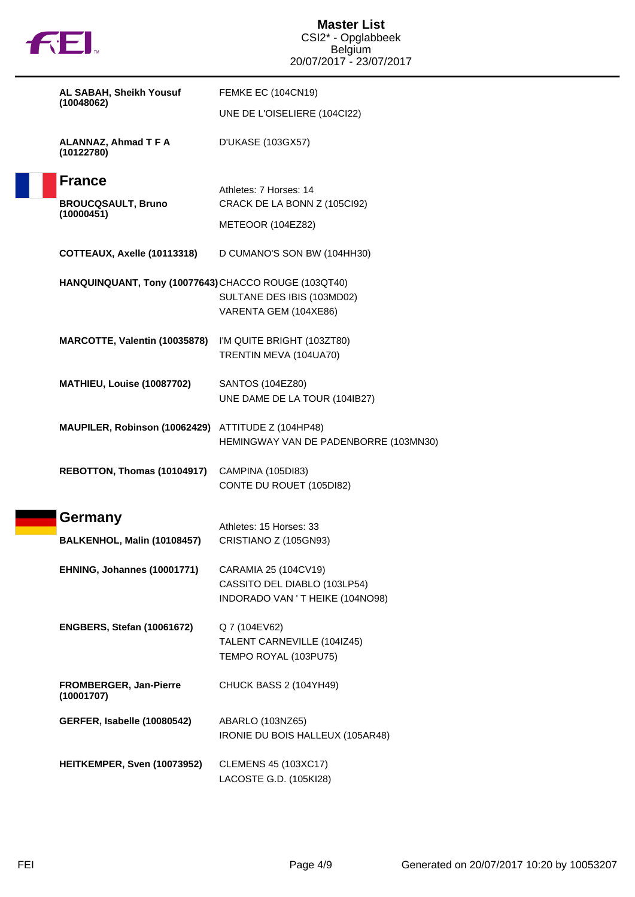|  |  | N |
|--|--|---|
|  |  |   |

| AL SABAH, Sheikh Yousuf                              | <b>FEMKE EC (104CN19)</b>                                        |  |
|------------------------------------------------------|------------------------------------------------------------------|--|
| (10048062)                                           | UNE DE L'OISELIERE (104Cl22)                                     |  |
| ALANNAZ, Ahmad T F A<br>(10122780)                   | D'UKASE (103GX57)                                                |  |
| <b>France</b>                                        | Athletes: 7 Horses: 14                                           |  |
| <b>BROUCQSAULT, Bruno</b><br>(10000451)              | CRACK DE LA BONN Z (105Cl92)                                     |  |
|                                                      | METEOOR (104EZ82)                                                |  |
| COTTEAUX, Axelle (10113318)                          | D CUMANO'S SON BW (104HH30)                                      |  |
| HANQUINQUANT, Tony (10077643) CHACCO ROUGE (103QT40) | SULTANE DES IBIS (103MD02)<br>VARENTA GEM (104XE86)              |  |
| MARCOTTE, Valentin (10035878)                        | I'M QUITE BRIGHT (103ZT80)<br>TRENTIN MEVA (104UA70)             |  |
| MATHIEU, Louise (10087702)                           | SANTOS (104EZ80)<br>UNE DAME DE LA TOUR (104IB27)                |  |
| MAUPILER, Robinson (10062429) ATTITUDE Z (104HP48)   | HEMINGWAY VAN DE PADENBORRE (103MN30)                            |  |
| REBOTTON, Thomas (10104917)                          | CAMPINA (105DI83)<br>CONTE DU ROUET (105DI82)                    |  |
| Germany                                              | Athletes: 15 Horses: 33                                          |  |
| BALKENHOL, Malin (10108457)                          | CRISTIANO Z (105GN93)                                            |  |
| EHNING, Johannes (10001771)                          | CARAMIA 25 (104CV19)                                             |  |
|                                                      | CASSITO DEL DIABLO (103LP54)<br>INDORADO VAN ' T HEIKE (104NO98) |  |
| <b>ENGBERS, Stefan (10061672)</b>                    | Q 7 (104EV62)<br>TALENT CARNEVILLE (104IZ45)                     |  |
| <b>FROMBERGER, Jan-Pierre</b><br>(10001707)          | TEMPO ROYAL (103PU75)<br>CHUCK BASS 2 (104YH49)                  |  |
| GERFER, Isabelle (10080542)                          | ABARLO (103NZ65)<br>IRONIE DU BOIS HALLEUX (105AR48)             |  |
| HEITKEMPER, Sven (10073952)                          | <b>CLEMENS 45 (103XC17)</b><br>LACOSTE G.D. (105KI28)            |  |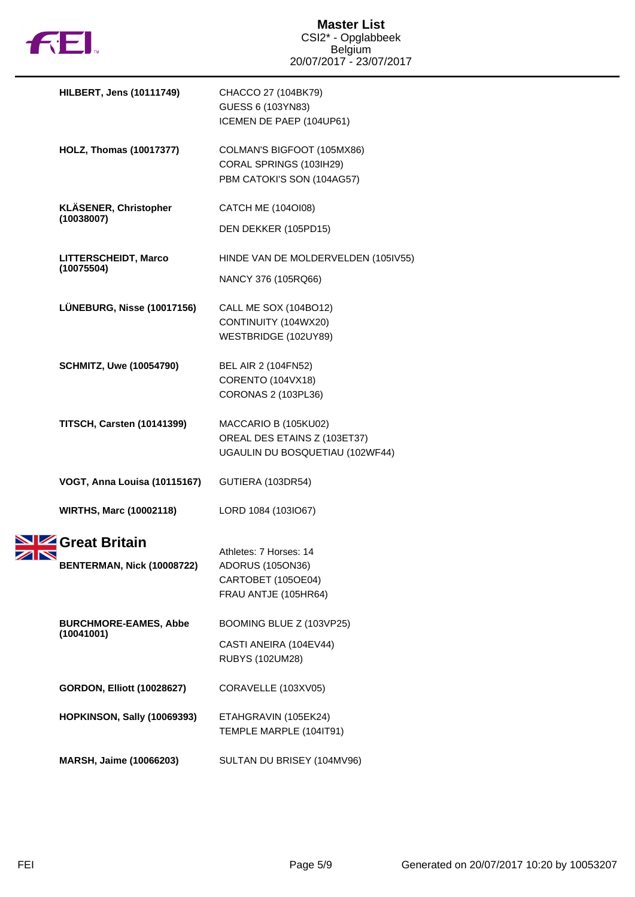

|                       | <b>HILBERT, Jens (10111749)</b>                        | CHACCO 27 (104BK79)<br>GUESS 6 (103YN83)<br>ICEMEN DE PAEP (104UP61)                     |
|-----------------------|--------------------------------------------------------|------------------------------------------------------------------------------------------|
|                       | <b>HOLZ, Thomas (10017377)</b>                         | COLMAN'S BIGFOOT (105MX86)<br>CORAL SPRINGS (103IH29)<br>PBM CATOKI'S SON (104AG57)      |
|                       | KLÄSENER, Christopher<br>(10038007)                    | CATCH ME (104OI08)<br>DEN DEKKER (105PD15)                                               |
|                       | LITTERSCHEIDT, Marco<br>(10075504)                     | HINDE VAN DE MOLDERVELDEN (105IV55)<br>NANCY 376 (105RQ66)                               |
|                       | LÜNEBURG, Nisse (10017156)                             | <b>CALL ME SOX (104BO12)</b><br>CONTINUITY (104WX20)<br>WESTBRIDGE (102UY89)             |
|                       | <b>SCHMITZ, Uwe (10054790)</b>                         | BEL AIR 2 (104FN52)<br>CORENTO (104VX18)<br>CORONAS 2 (103PL36)                          |
|                       | <b>TITSCH, Carsten (10141399)</b>                      | MACCARIO B (105KU02)<br>OREAL DES ETAINS Z (103ET37)<br>UGAULIN DU BOSQUETIAU (102WF44)  |
|                       | VOGT, Anna Louisa (10115167)                           | GUTIERA (103DR54)                                                                        |
|                       | <b>WIRTHS, Marc (10002118)</b>                         | LORD 1084 (103IO67)                                                                      |
| $\blacktriangleright$ | <b>SIZ</b> Great Britain<br>BENTERMAN, Nick (10008722) | Athletes: 7 Horses: 14<br>ADORUS (105ON36)<br>CARTOBET (105OE04)<br>FRAU ANTJE (105HR64) |
|                       | <b>BURCHMORE-EAMES, Abbe</b><br>(10041001)             | BOOMING BLUE Z (103VP25)<br>CASTI ANEIRA (104EV44)<br><b>RUBYS (102UM28)</b>             |
|                       | <b>GORDON, Elliott (10028627)</b>                      | CORAVELLE (103XV05)                                                                      |
|                       | <b>HOPKINSON, Sally (10069393)</b>                     | ETAHGRAVIN (105EK24)<br>TEMPLE MARPLE (104IT91)                                          |
|                       | MARSH, Jaime (10066203)                                | SULTAN DU BRISEY (104MV96)                                                               |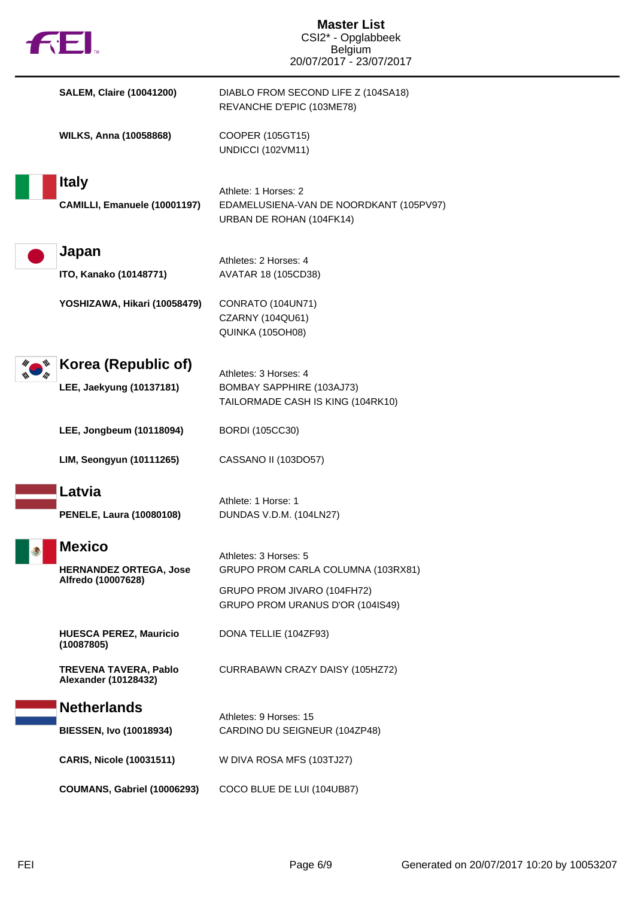| TEI.                                                                 | <b>Master List</b><br>CSI2* - Opglabbeek<br><b>Belgium</b><br>20/07/2017 - 23/07/2017                                          |
|----------------------------------------------------------------------|--------------------------------------------------------------------------------------------------------------------------------|
| <b>SALEM, Claire (10041200)</b>                                      | DIABLO FROM SECOND LIFE Z (104SA18)<br>REVANCHE D'EPIC (103ME78)                                                               |
| <b>WILKS, Anna (10058868)</b>                                        | COOPER (105GT15)<br><b>UNDICCI (102VM11)</b>                                                                                   |
| <b>Italy</b><br>CAMILLI, Emanuele (10001197)                         | Athlete: 1 Horses: 2<br>EDAMELUSIENA-VAN DE NOORDKANT (105PV97)<br>URBAN DE ROHAN (104FK14)                                    |
| Japan<br>ITO, Kanako (10148771)                                      | Athletes: 2 Horses: 4<br>AVATAR 18 (105CD38)                                                                                   |
| YOSHIZAWA, Hikari (10058479)                                         | CONRATO (104UN71)<br>CZARNY (104QU61)<br>QUINKA (105OH08)                                                                      |
| Korea (Republic of)<br>LEE, Jaekyung (10137181)                      | Athletes: 3 Horses: 4<br>BOMBAY SAPPHIRE (103AJ73)<br>TAILORMADE CASH IS KING (104RK10)                                        |
| LEE, Jongbeum (10118094)                                             | <b>BORDI</b> (105CC30)                                                                                                         |
| LIM, Seongyun (10111265)                                             | CASSANO II (103DO57)                                                                                                           |
| Latvia<br><b>PENELE, Laura (10080108)</b>                            | Athlete: 1 Horse: 1<br>DUNDAS V.D.M. (104LN27)                                                                                 |
| <b>Mexico</b><br><b>HERNANDEZ ORTEGA, Jose</b><br>Alfredo (10007628) | Athletes: 3 Horses: 5<br>GRUPO PROM CARLA COLUMNA (103RX81)<br>GRUPO PROM JIVARO (104FH72)<br>GRUPO PROM URANUS D'OR (104IS49) |
| <b>HUESCA PEREZ, Mauricio</b><br>(10087805)                          | DONA TELLIE (104ZF93)                                                                                                          |
| <b>TREVENA TAVERA, Pablo</b><br>Alexander (10128432)                 | CURRABAWN CRAZY DAISY (105HZ72)                                                                                                |
| <b>Netherlands</b><br><b>BIESSEN, Ivo (10018934)</b>                 | Athletes: 9 Horses: 15<br>CARDINO DU SEIGNEUR (104ZP48)                                                                        |
| <b>CARIS, Nicole (10031511)</b>                                      | W DIVA ROSA MFS (103TJ27)                                                                                                      |
| COUMANS, Gabriel (10006293)                                          | COCO BLUE DE LUI (104UB87)                                                                                                     |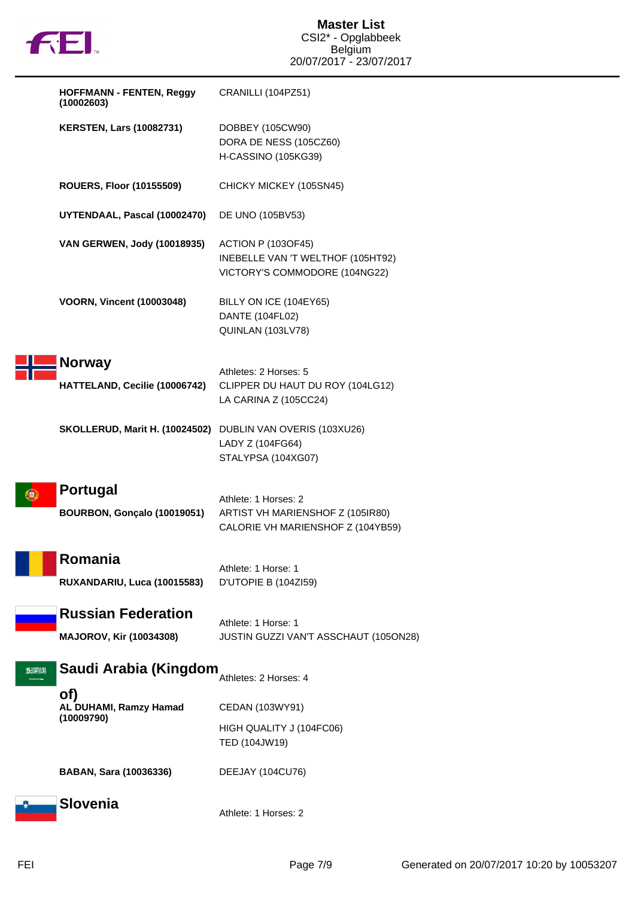

|          | <b>HOFFMANN - FENTEN, Reggy</b><br>(10002603)               | CRANILLI (104PZ51)                                                                              |
|----------|-------------------------------------------------------------|-------------------------------------------------------------------------------------------------|
|          | <b>KERSTEN, Lars (10082731)</b>                             | DOBBEY (105CW90)<br>DORA DE NESS (105CZ60)<br>H-CASSINO (105KG39)                               |
|          | <b>ROUERS, Floor (10155509)</b>                             | CHICKY MICKEY (105SN45)                                                                         |
|          | UYTENDAAL, Pascal (10002470)                                | DE UNO (105BV53)                                                                                |
|          | VAN GERWEN, Jody (10018935)                                 | <b>ACTION P (103OF45)</b><br>INEBELLE VAN 'T WELTHOF (105HT92)<br>VICTORY'S COMMODORE (104NG22) |
|          | <b>VOORN, Vincent (10003048)</b>                            | BILLY ON ICE (104EY65)<br>DANTE (104FL02)<br>QUINLAN (103LV78)                                  |
|          | <b>Norway</b><br>HATTELAND, Cecilie (10006742)              | Athletes: 2 Horses: 5<br>CLIPPER DU HAUT DU ROY (104LG12)<br>LA CARINA Z (105CC24)              |
|          | SKOLLERUD, Marit H. (10024502) DUBLIN VAN OVERIS (103XU26)  | LADY Z (104FG64)<br>STALYPSA (104XG07)                                                          |
|          | <b>Portugal</b><br>BOURBON, Gonçalo (10019051)              | Athlete: 1 Horses: 2<br>ARTIST VH MARIENSHOF Z (105IR80)<br>CALORIE VH MARIENSHOF Z (104YB59)   |
|          | Romania<br>RUXANDARIU, Luca (10015583)                      | Athlete: 1 Horse: 1<br>D'UTOPIE B (104ZI59)                                                     |
|          | <b>Russian Federation</b><br><b>MAJOROV, Kir (10034308)</b> | Athlete: 1 Horse: 1<br>JUSTIN GUZZI VAN'T ASSCHAUT (105ON28)                                    |
| الالجهاز | Saudi Arabia (Kingdom                                       | Athletes: 2 Horses: 4                                                                           |
|          | of)<br>AL DUHAMI, Ramzy Hamad<br>(10009790)                 | CEDAN (103WY91)                                                                                 |
|          |                                                             | HIGH QUALITY J (104FC06)<br>TED (104JW19)                                                       |
|          | <b>BABAN, Sara (10036336)</b>                               | DEEJAY (104CU76)                                                                                |
|          | Slovenia                                                    | Athlete: 1 Horses: 2                                                                            |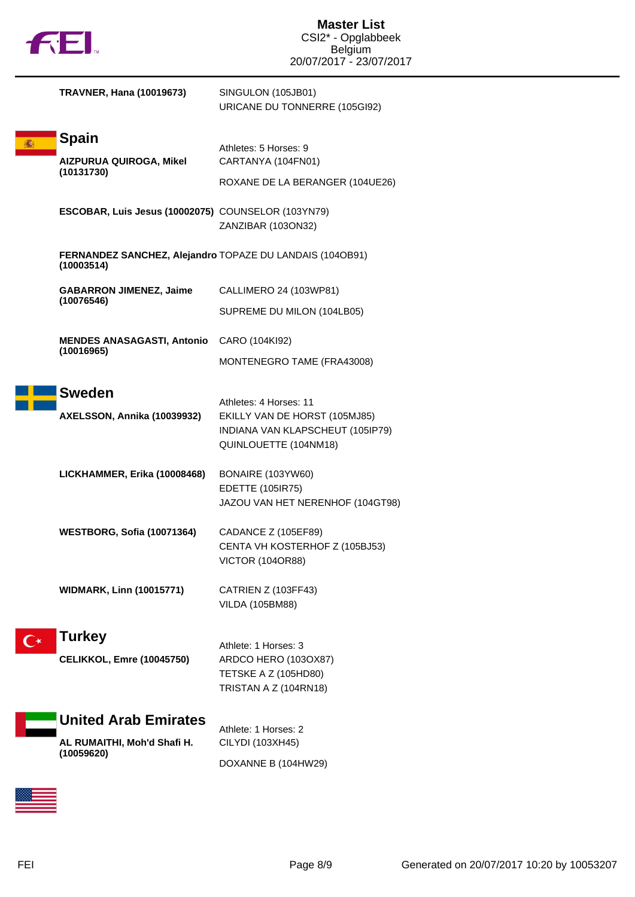|  | TΜ |
|--|----|
|  |    |

| <b>TRAVNER, Hana (10019673)</b>                                          | SINGULON (105JB01)<br>URICANE DU TONNERRE (105GI92)                                                                  |
|--------------------------------------------------------------------------|----------------------------------------------------------------------------------------------------------------------|
| <b>Spain</b><br><b>AIZPURUA QUIROGA, Mikel</b><br>(10131730)             | Athletes: 5 Horses: 9<br>CARTANYA (104FN01)<br>ROXANE DE LA BERANGER (104UE26)                                       |
| ESCOBAR, Luis Jesus (10002075) COUNSELOR (103YN79)                       | ZANZIBAR (103ON32)                                                                                                   |
| FERNANDEZ SANCHEZ, Alejandro TOPAZE DU LANDAIS (104OB91)<br>(10003514)   |                                                                                                                      |
| <b>GABARRON JIMENEZ, Jaime</b><br>(10076546)                             | CALLIMERO 24 (103WP81)<br>SUPREME DU MILON (104LB05)                                                                 |
| <b>MENDES ANASAGASTI, Antonio</b><br>(10016965)                          | CARO (104KI92)<br>MONTENEGRO TAME (FRA43008)                                                                         |
| <b>Sweden</b><br>AXELSSON, Annika (10039932)                             | Athletes: 4 Horses: 11<br>EKILLY VAN DE HORST (105MJ85)<br>INDIANA VAN KLAPSCHEUT (105IP79)<br>QUINLOUETTE (104NM18) |
| LICKHAMMER, Erika (10008468)                                             | BONAIRE (103YW60)<br><b>EDETTE (105IR75)</b><br>JAZOU VAN HET NERENHOF (104GT98)                                     |
| WESTBORG, Sofia (10071364)                                               | CADANCE Z (105EF89)<br>CENTA VH KOSTERHOF Z (105BJ53)<br><b>VICTOR (104OR88)</b>                                     |
| <b>WIDMARK, Linn (10015771)</b>                                          | CATRIEN Z (103FF43)<br><b>VILDA (105BM88)</b>                                                                        |
| Turkey<br><b>CELIKKOL, Emre (10045750)</b>                               | Athlete: 1 Horses: 3<br>ARDCO HERO (1030X87)<br>TETSKE A Z (105HD80)<br>TRISTAN A Z (104RN18)                        |
| <b>United Arab Emirates</b><br>AL RUMAITHI, Moh'd Shafi H.<br>(10059620) | Athlete: 1 Horses: 2<br>CILYDI (103XH45)<br>DOXANNE B (104HW29)                                                      |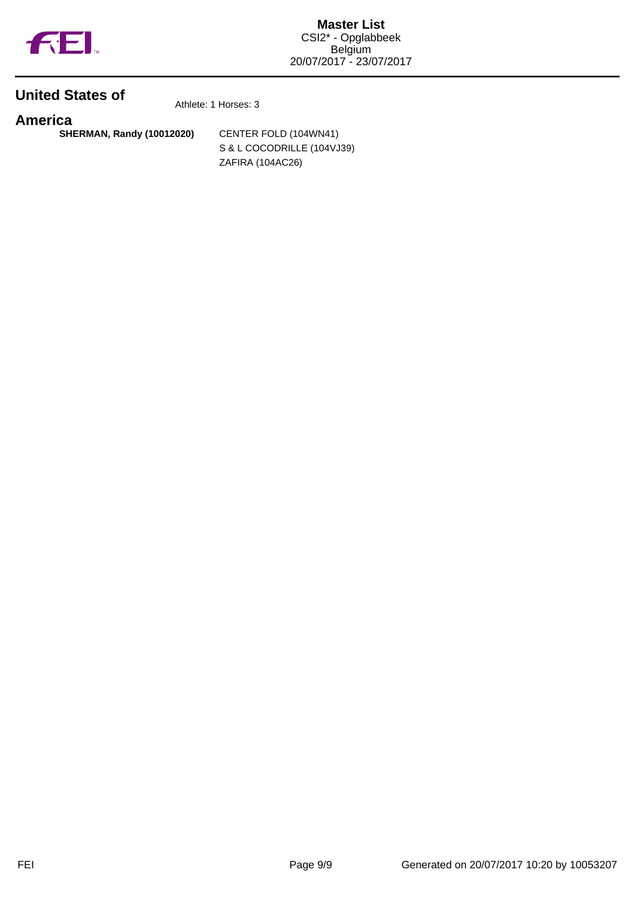

## **United States of**

Athlete: 1 Horses: 3

**America SHERMAN, Randy (10012020)** CENTER FOLD (104WN41)

S & L COCODRILLE (104VJ39) ZAFIRA (104AC26)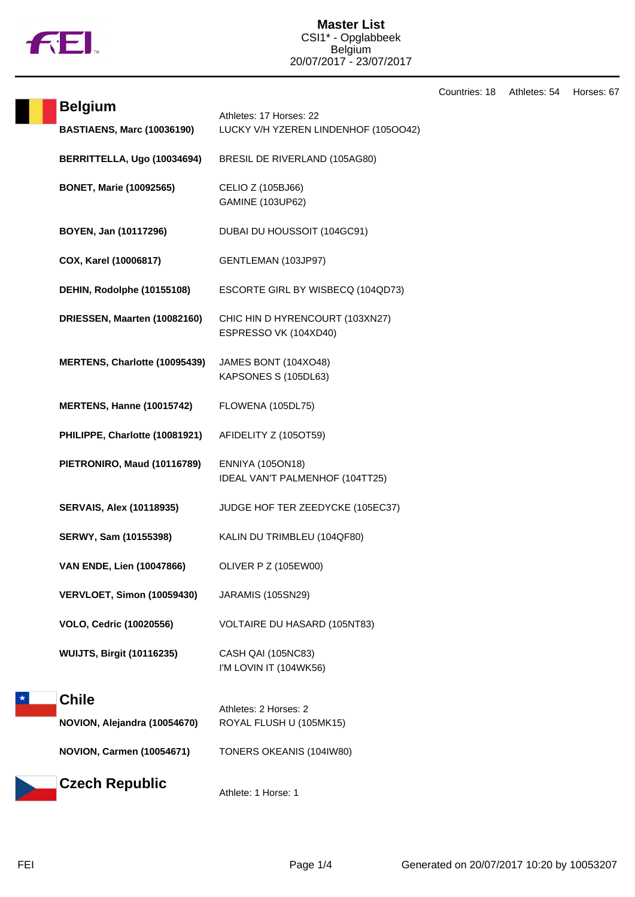

Countries: 18 Athletes: 54 Horses: 67

| <b>Belgium</b>                    |                                                                 |
|-----------------------------------|-----------------------------------------------------------------|
| <b>BASTIAENS, Marc (10036190)</b> | Athletes: 17 Horses: 22<br>LUCKY V/H YZEREN LINDENHOF (1050042) |
| BERRITTELLA, Ugo (10034694)       | BRESIL DE RIVERLAND (105AG80)                                   |
| <b>BONET, Marie (10092565)</b>    | CELIO Z (105BJ66)<br>GAMINE (103UP62)                           |
| BOYEN, Jan (10117296)             | DUBAI DU HOUSSOIT (104GC91)                                     |
| COX, Karel (10006817)             | GENTLEMAN (103JP97)                                             |
| DEHIN, Rodolphe (10155108)        | ESCORTE GIRL BY WISBECQ (104QD73)                               |
| DRIESSEN, Maarten (10082160)      | CHIC HIN D HYRENCOURT (103XN27)<br>ESPRESSO VK (104XD40)        |
| MERTENS, Charlotte (10095439)     | JAMES BONT (104XO48)<br>KAPSONES S (105DL63)                    |
| <b>MERTENS, Hanne (10015742)</b>  | FLOWENA (105DL75)                                               |
| PHILIPPE, Charlotte (10081921)    | AFIDELITY Z (105OT59)                                           |
| PIETRONIRO, Maud (10116789)       | <b>ENNIYA (105ON18)</b><br>IDEAL VAN'T PALMENHOF (104TT25)      |
| <b>SERVAIS, Alex (10118935)</b>   | JUDGE HOF TER ZEEDYCKE (105EC37)                                |
| SERWY, Sam (10155398)             | KALIN DU TRIMBLEU (104QF80)                                     |
| VAN ENDE, Lien (10047866)         | <b>OLIVER P Z (105EW00)</b>                                     |
| VERVLOET, Simon (10059430)        | <b>JARAMIS (105SN29)</b>                                        |
| <b>VOLO, Cedric (10020556)</b>    | VOLTAIRE DU HASARD (105NT83)                                    |
| <b>WUIJTS, Birgit (10116235)</b>  | CASH QAI (105NC83)<br>I'M LOVIN IT (104WK56)                    |
| <b>Chile</b>                      |                                                                 |
| NOVION, Alejandra (10054670)      | Athletes: 2 Horses: 2<br>ROYAL FLUSH U (105MK15)                |
| <b>NOVION, Carmen (10054671)</b>  | TONERS OKEANIS (104IW80)                                        |
| <b>Czech Republic</b>             |                                                                 |

Athlete: 1 Horse: 1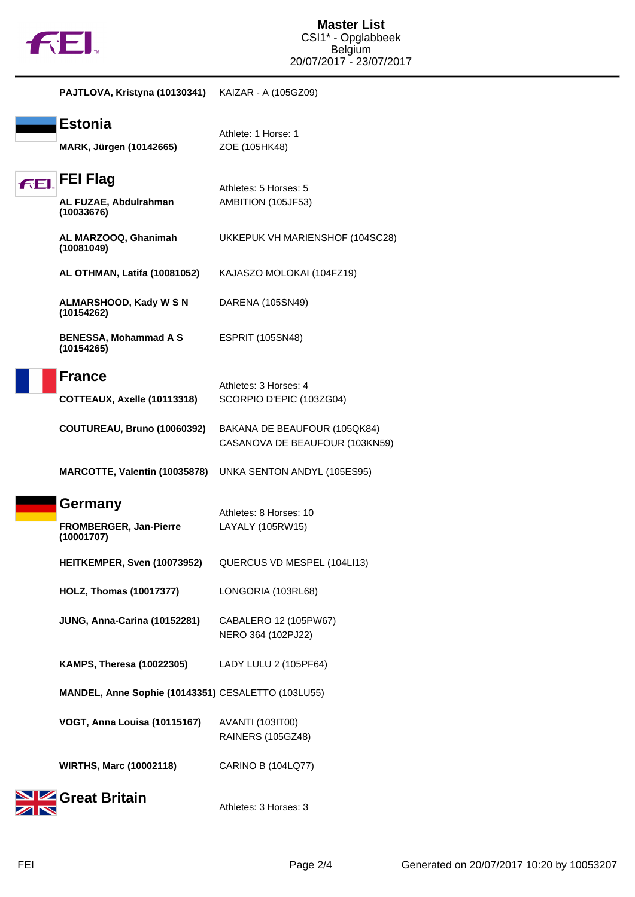

|    | PAJTLOVA, Kristyna (10130341)                          | KAIZAR - A (105GZ09)                                           |
|----|--------------------------------------------------------|----------------------------------------------------------------|
|    | <b>Estonia</b><br>MARK, Jürgen (10142665)              | Athlete: 1 Horse: 1<br>ZOE (105HK48)                           |
| fЕ | <b>FEI Flag</b><br>AL FUZAE, Abdulrahman<br>(10033676) | Athletes: 5 Horses: 5<br>AMBITION (105JF53)                    |
|    | AL MARZOOQ, Ghanimah<br>(10081049)                     | UKKEPUK VH MARIENSHOF (104SC28)                                |
|    | <b>AL OTHMAN, Latifa (10081052)</b>                    | KAJASZO MOLOKAI (104FZ19)                                      |
|    | <b>ALMARSHOOD, Kady W S N</b><br>(10154262)            | DARENA (105SN49)                                               |
|    | <b>BENESSA, Mohammad A S</b><br>(10154265)             | <b>ESPRIT (105SN48)</b>                                        |
|    | <b>France</b>                                          | Athletes: 3 Horses: 4                                          |
|    | COTTEAUX, Axelle (10113318)                            | SCORPIO D'EPIC (103ZG04)                                       |
|    | <b>COUTUREAU, Bruno (10060392)</b>                     | BAKANA DE BEAUFOUR (105QK84)<br>CASANOVA DE BEAUFOUR (103KN59) |
|    | MARCOTTE, Valentin (10035878)                          | UNKA SENTON ANDYL (105ES95)                                    |
|    | Germany<br>FROMBERGER, Jan-Pierre<br>(10001707)        | Athletes: 8 Horses: 10<br>LAYALY (105RW15)                     |
|    | HEITKEMPER, Sven (10073952)                            | QUERCUS VD MESPEL (104LI13)                                    |
|    | <b>HOLZ, Thomas (10017377)</b>                         | LONGORIA (103RL68)                                             |
|    | JUNG, Anna-Carina (10152281)                           | CABALERO 12 (105PW67)<br>NERO 364 (102PJ22)                    |
|    | <b>KAMPS, Theresa (10022305)</b>                       | LADY LULU 2 (105PF64)                                          |
|    | MANDEL, Anne Sophie (10143351) CESALETTO (103LU55)     |                                                                |
|    | VOGT, Anna Louisa (10115167)                           | <b>AVANTI (103IT00)</b><br><b>RAINERS (105GZ48)</b>            |
|    | <b>WIRTHS, Marc (10002118)</b>                         | <b>CARINO B (104LQ77)</b>                                      |
|    | Great Britain                                          | Athletes: 3 Horses: 3                                          |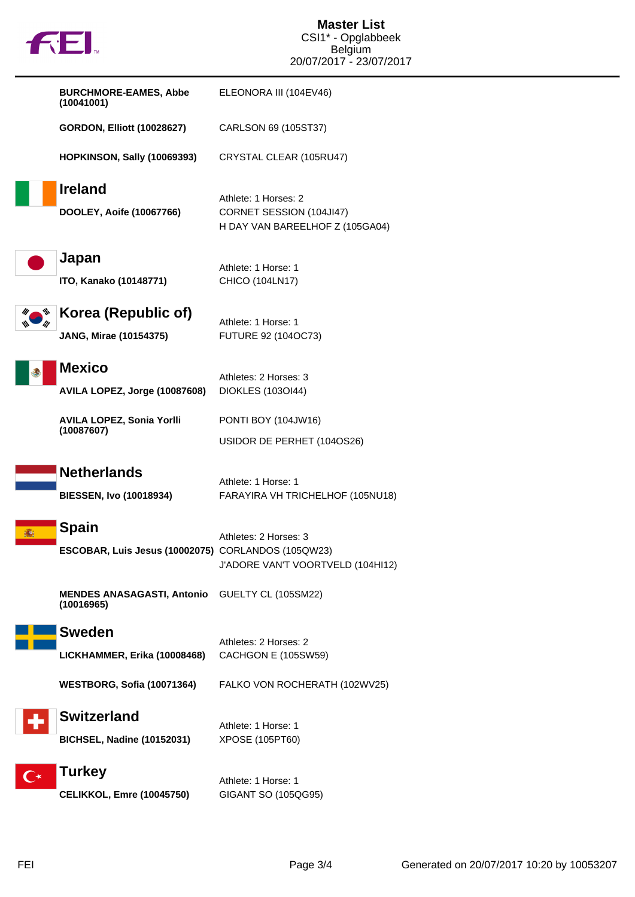|                      |                                                                     | CSI1* - Opglabbeek                                                                  |
|----------------------|---------------------------------------------------------------------|-------------------------------------------------------------------------------------|
|                      |                                                                     | <b>Belgium</b><br>20/07/2017 - 23/07/2017                                           |
|                      | <b>BURCHMORE-EAMES, Abbe</b><br>(10041001)                          | ELEONORA III (104EV46)                                                              |
|                      | <b>GORDON, Elliott (10028627)</b>                                   | CARLSON 69 (105ST37)                                                                |
|                      | <b>HOPKINSON, Sally (10069393)</b>                                  | CRYSTAL CLEAR (105RU47)                                                             |
|                      | <b>Ireland</b><br>DOOLEY, Aoife (10067766)                          | Athlete: 1 Horses: 2<br>CORNET SESSION (104JI47)<br>H DAY VAN BAREELHOF Z (105GA04) |
|                      | Japan<br>ITO, Kanako (10148771)                                     | Athlete: 1 Horse: 1<br>CHICO (104LN17)                                              |
|                      | Korea (Republic of)<br><b>JANG, Mirae (10154375)</b>                | Athlete: 1 Horse: 1<br>FUTURE 92 (104OC73)                                          |
|                      | <b>Mexico</b><br>AVILA LOPEZ, Jorge (10087608)                      | Athletes: 2 Horses: 3<br>DIOKLES (1030I44)                                          |
|                      | AVILA LOPEZ, Sonia Yorlli<br>(10087607)                             | PONTI BOY (104JW16)<br>USIDOR DE PERHET (104OS26)                                   |
|                      | <b>Netherlands</b><br><b>BIESSEN, Ivo (10018934)</b>                | Athlete: 1 Horse: 1<br>FARAYIRA VH TRICHELHOF (105NU18)                             |
|                      | <b>Spain</b><br>ESCOBAR, Luis Jesus (10002075) CORLANDOS (105QW23)  | Athletes: 2 Horses: 3<br>J'ADORE VAN'T VOORTVELD (104HI12)                          |
|                      | <b>MENDES ANASAGASTI, Antonio</b> GUELTY CL (105SM22)<br>(10016965) |                                                                                     |
|                      | <b>Sweden</b><br>LICKHAMMER, Erika (10008468)                       | Athletes: 2 Horses: 2<br>CACHGON E (105SW59)                                        |
|                      | <b>WESTBORG, Sofia (10071364)</b>                                   | FALKO VON ROCHERATH (102WV25)                                                       |
|                      | <b>Switzerland</b><br><b>BICHSEL, Nadine (10152031)</b>             | Athlete: 1 Horse: 1<br>XPOSE (105PT60)                                              |
| $\mathbf{C}^{\star}$ | <b>Turkey</b><br><b>CELIKKOL, Emre (10045750)</b>                   | Athlete: 1 Horse: 1<br>GIGANT SO (105QG95)                                          |

**Master List**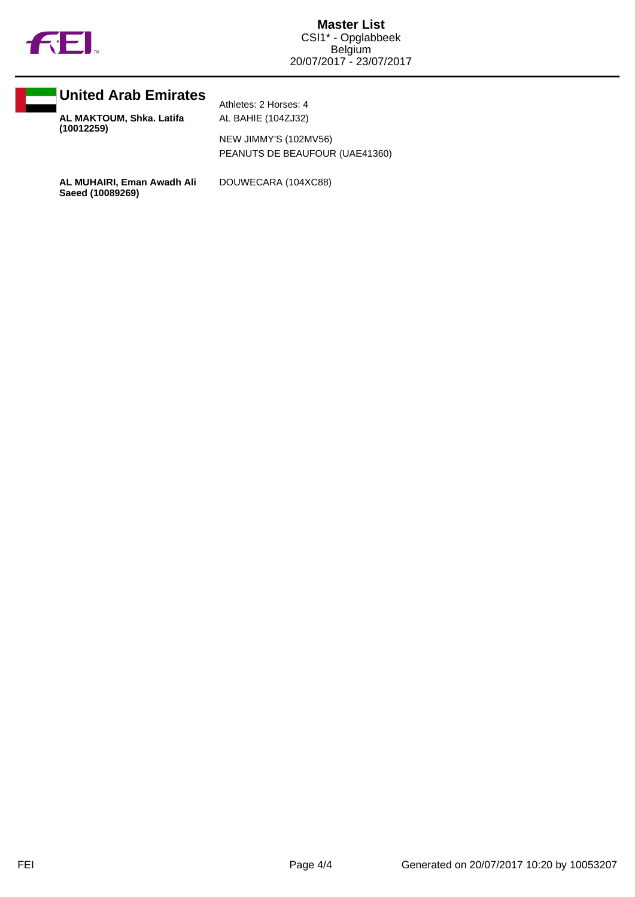



**AL MAKTOUM, Shka. Latifa (10012259)**

Athletes: 2 Horses: 4 AL BAHIE (104ZJ32)

NEW JIMMY'S (102MV56) PEANUTS DE BEAUFOUR (UAE41360)

**AL MUHAIRI, Eman Awadh Ali Saeed (10089269)**

DOUWECARA (104XC88)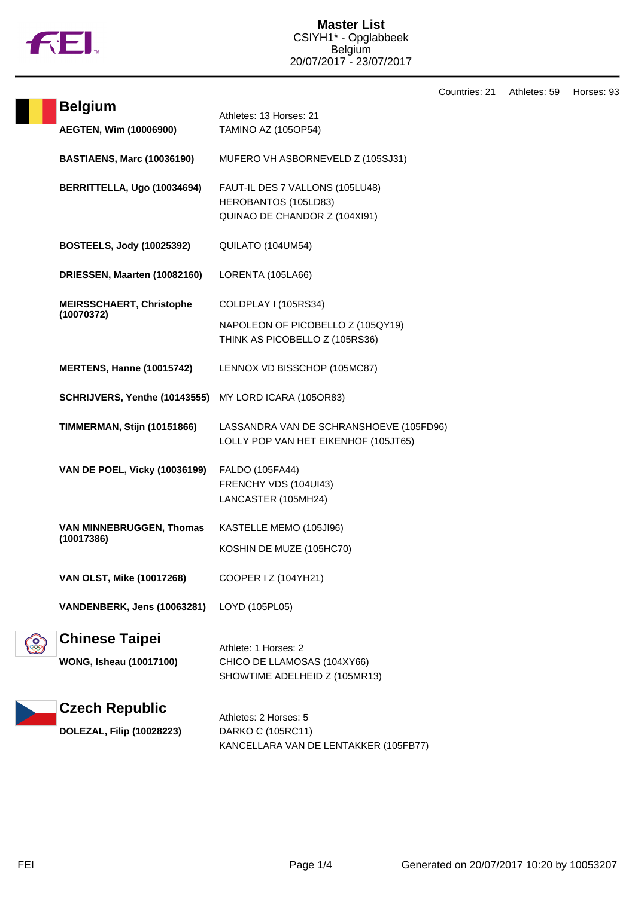

| <b>Belgium</b>                                          | Athletes: 13 Horses: 21                                                                     |
|---------------------------------------------------------|---------------------------------------------------------------------------------------------|
| AEGTEN, Wim (10006900)                                  | <b>TAMINO AZ (105OP54)</b>                                                                  |
| <b>BASTIAENS, Marc (10036190)</b>                       | MUFERO VH ASBORNEVELD Z (105SJ31)                                                           |
| BERRITTELLA, Ugo (10034694)                             | FAUT-IL DES 7 VALLONS (105LU48)<br>HEROBANTOS (105LD83)<br>QUINAO DE CHANDOR Z (104XI91)    |
| <b>BOSTEELS, Jody (10025392)</b>                        | QUILATO (104UM54)                                                                           |
| DRIESSEN, Maarten (10082160)                            | LORENTA (105LA66)                                                                           |
| <b>MEIRSSCHAERT, Christophe</b><br>(10070372)           | COLDPLAY I (105RS34)<br>NAPOLEON OF PICOBELLO Z (105QY19)<br>THINK AS PICOBELLO Z (105RS36) |
| <b>MERTENS, Hanne (10015742)</b>                        | LENNOX VD BISSCHOP (105MC87)                                                                |
| SCHRIJVERS, Yenthe (10143555) MY LORD ICARA (105OR83)   |                                                                                             |
| <b>TIMMERMAN, Stijn (10151866)</b>                      | LASSANDRA VAN DE SCHRANSHOEVE (105FD96)<br>LOLLY POP VAN HET EIKENHOF (105JT65)             |
| <b>VAN DE POEL, Vicky (10036199)</b>                    | FALDO (105FA44)<br>FRENCHY VDS (104UI43)<br>LANCASTER (105MH24)                             |
| VAN MINNEBRUGGEN, Thomas<br>(10017386)                  | KASTELLE MEMO (105JI96)<br>KOSHIN DE MUZE (105HC70)                                         |
| <b>VAN OLST, Mike (10017268)</b>                        | COOPER I Z (104YH21)                                                                        |
| VANDENBERK, Jens (10063281)                             | LOYD (105PL05)                                                                              |
| <b>Chinese Taipei</b><br><b>WONG, Isheau (10017100)</b> | Athlete: 1 Horses: 2<br>CHICO DE LLAMOSAS (104XY66)<br>SHOWTIME ADELHEID Z (105MR13)        |
| <b>Czech Republic</b><br>DOLEZAL, Filip (10028223)      | Athletes: 2 Horses: 5<br>DARKO C (105RC11)<br>KANCELLARA VAN DE LENTAKKER (105FB77)         |

Countries: 21 Athletes: 59 Horses: 93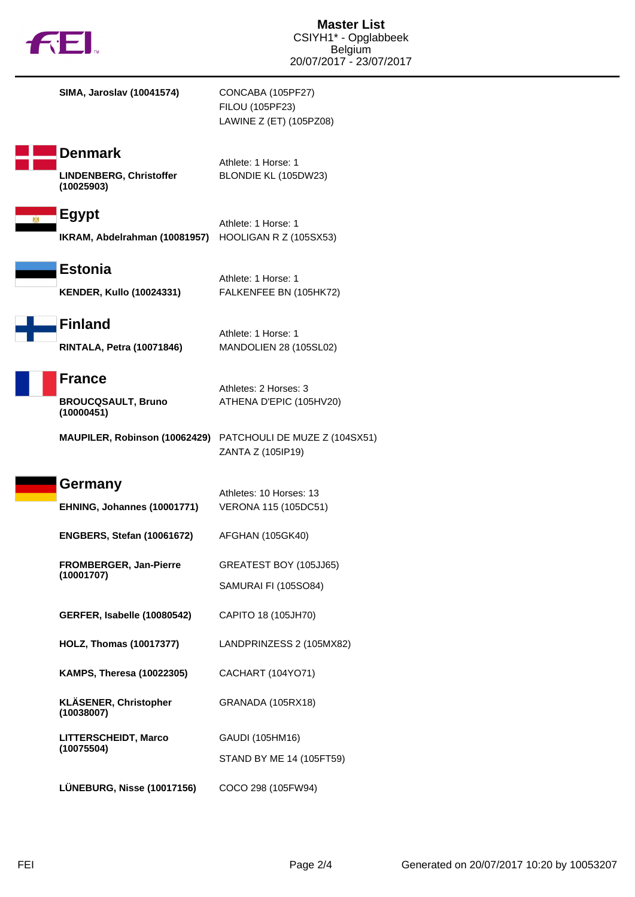|  | TМ |
|--|----|
|  |    |

**SIMA, Jaroslav (10041574)** CONCABA (105PF27)

FILOU (105PF23) LAWINE Z (ET) (105PZ08)

**Denmark**

**LINDENBERG, Christoffer (10025903)**

Athlete: 1 Horse: 1 BLONDIE KL (105DW23)

Athlete: 1 Horse: 1

Athlete: 1 Horse: 1

Athletes: 2 Horses: 3

**Egypt** Athlete: 1 Horse: 1 **IKRAM, Abdelrahman (10081957)** HOOLIGAN R Z (105SX53)

**Estonia KENDER, Kullo (10024331)** FALKENFEE BN (105HK72)

**Finland RINTALA, Petra (10071846)** MANDOLIEN 28 (105SL02)

**France**

**BROUCQSAULT, Bruno (10000451)**

**MAUPILER, Robinson (10062429)** PATCHOULI DE MUZE Z (104SX51)

ZANTA Z (105IP19)

ATHENA D'EPIC (105HV20)

## **Germany**

| .                           | Athletes: 10 Horses: 13 |
|-----------------------------|-------------------------|
| EHNING, Johannes (10001771) | VERONA 115 (105DC51)    |
|                             |                         |

**ENGBERS, Stefan (10061672)** AFGHAN (105GK40)

**FROMBERGER, Jan-Pierre (10001707)** GREATEST BOY (105JJ65) SAMURAI FI (105SO84)

**GERFER, Isabelle (10080542)** CAPITO 18 (105JH70)

**HOLZ, Thomas (10017377)** LANDPRINZESS 2 (105MX82)

GAUDI (105HM16)

STAND BY ME 14 (105FT59)

**KAMPS, Theresa (10022305)** CACHART (104YO71)

**KLÄSENER, Christopher (10038007)** GRANADA (105RX18)

**LITTERSCHEIDT, Marco (10075504)**

**LÜNEBURG, Nisse (10017156)** COCO 298 (105FW94)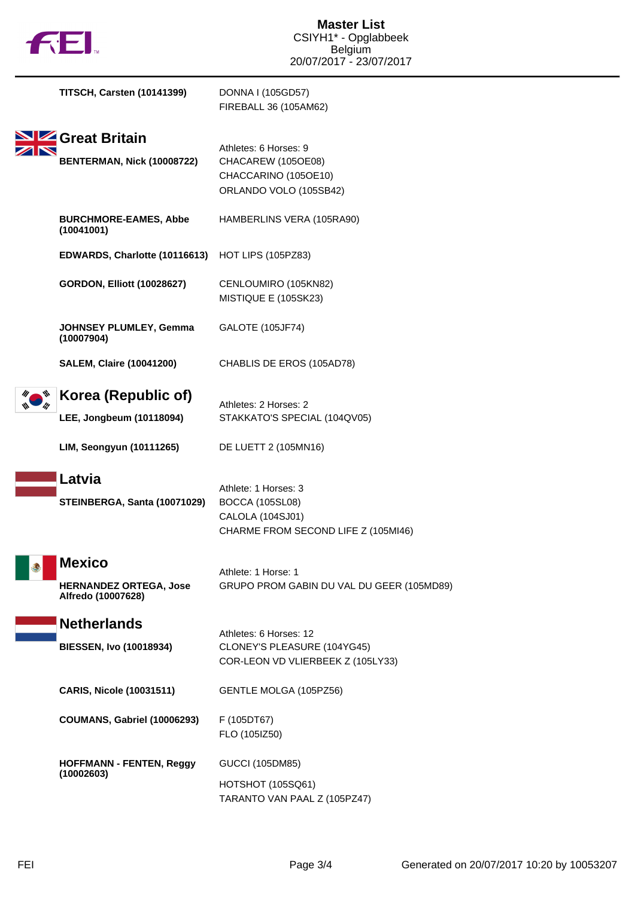| <b>TITSCH, Carsten (10141399)</b>                                           | DONNA I (105GD57)<br>FIREBALL 36 (105AM62)                                                                |
|-----------------------------------------------------------------------------|-----------------------------------------------------------------------------------------------------------|
| SIZ Great Britain<br>BENTERMAN, Nick (10008722)                             | Athletes: 6 Horses: 9<br>CHACAREW (105OE08)<br>CHACCARINO (105OE10)<br>ORLANDO VOLO (105SB42)             |
| <b>BURCHMORE-EAMES, Abbe</b><br>(10041001)                                  | HAMBERLINS VERA (105RA90)                                                                                 |
| EDWARDS, Charlotte (10116613)                                               | <b>HOT LIPS (105PZ83)</b>                                                                                 |
| <b>GORDON, Elliott (10028627)</b>                                           | CENLOUMIRO (105KN82)<br>MISTIQUE E (105SK23)                                                              |
| JOHNSEY PLUMLEY, Gemma<br>(10007904)                                        | <b>GALOTE (105JF74)</b>                                                                                   |
| <b>SALEM, Claire (10041200)</b>                                             | CHABLIS DE EROS (105AD78)                                                                                 |
| Korea (Republic of)<br>LEE, Jongbeum (10118094)<br>LIM, Seongyun (10111265) | Athletes: 2 Horses: 2<br>STAKKATO'S SPECIAL (104QV05)<br>DE LUETT 2 (105MN16)                             |
| Latvia<br>STEINBERGA, Santa (10071029)                                      | Athlete: 1 Horses: 3<br><b>BOCCA (105SL08)</b><br>CALOLA (104SJ01)<br>CHARME FROM SECOND LIFE Z (105MI46) |
| <b>Mexico</b><br><b>HERNANDEZ ORTEGA, Jose</b><br>Alfredo (10007628)        | Athlete: 1 Horse: 1<br>GRUPO PROM GABIN DU VAL DU GEER (105MD89)                                          |
| <b>Netherlands</b><br><b>BIESSEN, Ivo (10018934)</b>                        | Athletes: 6 Horses: 12<br>CLONEY'S PLEASURE (104YG45)<br>COR-LEON VD VLIERBEEK Z (105LY33)                |
| <b>CARIS, Nicole (10031511)</b>                                             | GENTLE MOLGA (105PZ56)                                                                                    |
| <b>COUMANS, Gabriel (10006293)</b>                                          | F (105DT67)<br>FLO (105IZ50)                                                                              |
| <b>HOFFMANN - FENTEN, Reggy</b><br>(10002603)                               | <b>GUCCI (105DM85)</b><br><b>HOTSHOT (105SQ61)</b><br>TARANTO VAN PAAL Z (105PZ47)                        |